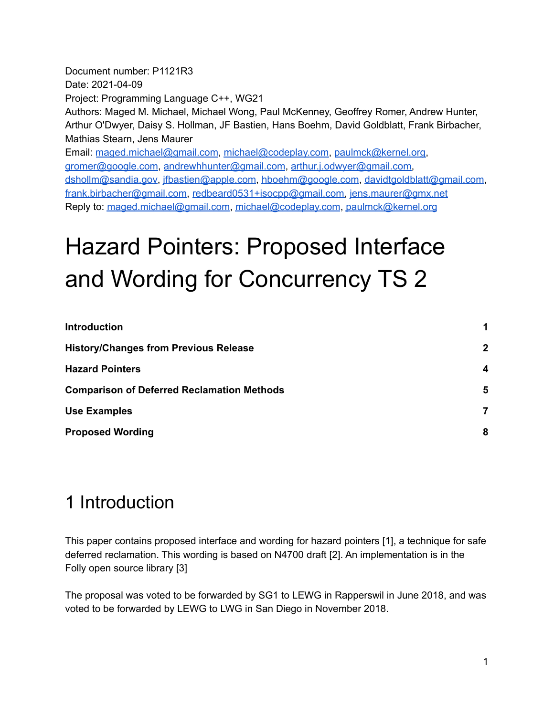Document number: P1121R3 Date: 2021-04-09 Project: Programming Language C++, WG21 Authors: Maged M. Michael, Michael Wong, Paul McKenney, Geoffrey Romer, Andrew Hunter, Arthur O'Dwyer, Daisy S. Hollman, JF Bastien, Hans Boehm, David Goldblatt, Frank Birbacher, Mathias Stearn, Jens Maurer Email: [maged.michael@gmail.com](mailto:maged.michael@acm.org), [michael@codeplay.com,](mailto:michael@codeplay.com) [paulmck@kernel.org,](mailto:paulmck@kernel.org) [gromer@google.com,](mailto:gromer@google.com) [andrewhhunter@gmail.com](mailto:andrewhhunter@gmail.com), [arthur.j.odwyer@gmail.com,](mailto:arthur.j.odwyer@gmail.com) [dshollm@sandia.gov](mailto:dshollm@sandia.gov), [jfbastien@apple.com](mailto:jfbastien@apple.com), [hboehm@google.com,](mailto:hboehm@google.com) [davidtgoldblatt@gmail.com](mailto:davidtgoldblatt@gmail.com), [frank.birbacher@gmail.com,](mailto:frank.birbacher@gmail.com) [redbeard0531+isocpp@gmail.com,](mailto:redbeard0531+isocpp@gmail.com) [jens.maurer@gmx.net](mailto:jens.maurer@gmx.net) Reply to: [maged.michael@gmail.com](mailto:maged.michael@gmail.com), [michael@codeplay.com](mailto:michael@codeplay.com), [paulmck@kernel.org](mailto:paulmck@kernel.org)

# Hazard Pointers: Proposed Interface and Wording for Concurrency TS 2

| <b>Introduction</b>                               | 1            |
|---------------------------------------------------|--------------|
| <b>History/Changes from Previous Release</b>      | $\mathbf{2}$ |
| <b>Hazard Pointers</b>                            | 4            |
| <b>Comparison of Deferred Reclamation Methods</b> | 5            |
| <b>Use Examples</b>                               | 7            |
| <b>Proposed Wording</b>                           | 8            |

## <span id="page-0-0"></span>1 Introduction

This paper contains proposed interface and wording for hazard pointers [1], a technique for safe deferred reclamation. This wording is based on N4700 draft [2]. An implementation is in the Folly open source library [3]

The proposal was voted to be forwarded by SG1 to LEWG in Rapperswil in June 2018, and was voted to be forwarded by LEWG to LWG in San Diego in November 2018.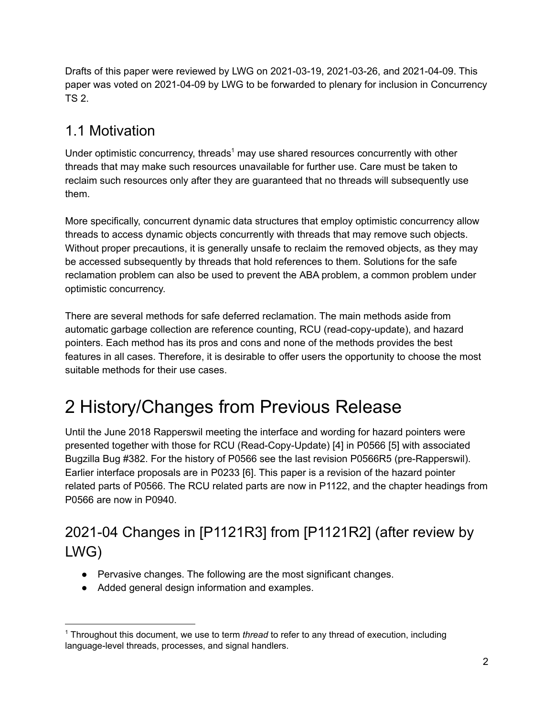Drafts of this paper were reviewed by LWG on 2021-03-19, 2021-03-26, and 2021-04-09. This paper was voted on 2021-04-09 by LWG to be forwarded to plenary for inclusion in Concurrency TS 2.

## 1.1 Motivation

Under optimistic concurrency, threads<sup>1</sup> may use shared resources concurrently with other threads that may make such resources unavailable for further use. Care must be taken to reclaim such resources only after they are guaranteed that no threads will subsequently use them.

More specifically, concurrent dynamic data structures that employ optimistic concurrency allow threads to access dynamic objects concurrently with threads that may remove such objects. Without proper precautions, it is generally unsafe to reclaim the removed objects, as they may be accessed subsequently by threads that hold references to them. Solutions for the safe reclamation problem can also be used to prevent the ABA problem, a common problem under optimistic concurrency.

There are several methods for safe deferred reclamation. The main methods aside from automatic garbage collection are reference counting, RCU (read-copy-update), and hazard pointers. Each method has its pros and cons and none of the methods provides the best features in all cases. Therefore, it is desirable to offer users the opportunity to choose the most suitable methods for their use cases.

## <span id="page-1-0"></span>2 History/Changes from Previous Release

Until the June 2018 Rapperswil meeting the interface and wording for hazard pointers were presented together with those for RCU (Read-Copy-Update) [4] in P0566 [5] with associated Bugzilla Bug #382. For the history of P0566 see the last revision P0566R5 (pre-Rapperswil). Earlier interface proposals are in P0233 [6]. This paper is a revision of the hazard pointer related parts of P0566. The RCU related parts are now in P1122, and the chapter headings from P0566 are now in P0940.

## 2021-04 Changes in [P1121R3] from [P1121R2] (after review by LWG)

- Pervasive changes. The following are the most significant changes.
- Added general design information and examples.

<sup>1</sup> Throughout this document, we use to term *thread* to refer to any thread of execution, including language-level threads, processes, and signal handlers.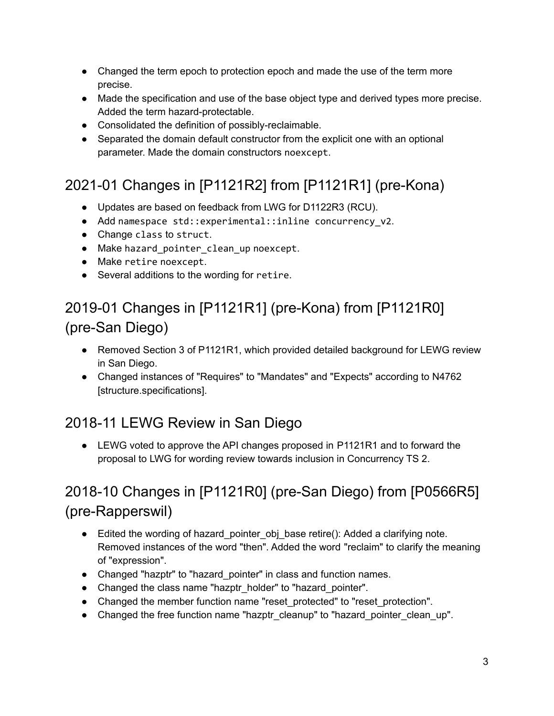- Changed the term epoch to protection epoch and made the use of the term more precise.
- Made the specification and use of the base object type and derived types more precise. Added the term hazard-protectable.
- Consolidated the definition of possibly-reclaimable.
- Separated the domain default constructor from the explicit one with an optional parameter. Made the domain constructors noexcept.

## 2021-01 Changes in [P1121R2] from [P1121R1] (pre-Kona)

- Updates are based on feedback from LWG for D1122R3 (RCU).
- Add namespace std::experimental::inline concurrency\_v2.
- Change class to struct.
- Make hazard\_pointer\_clean\_up noexcept.
- Make retire noexcept.
- Several additions to the wording for retire.

## 2019-01 Changes in [P1121R1] (pre-Kona) from [P1121R0] (pre-San Diego)

- Removed Section 3 of P1121R1, which provided detailed background for LEWG review in San Diego.
- Changed instances of "Requires" to "Mandates" and "Expects" according to N4762 [structure.specifications].

## 2018-11 LEWG Review in San Diego

● LEWG voted to approve the API changes proposed in P1121R1 and to forward the proposal to LWG for wording review towards inclusion in Concurrency TS 2.

## 2018-10 Changes in [P1121R0] (pre-San Diego) from [P0566R5] (pre-Rapperswil)

- Edited the wording of hazard pointer obj base retire(): Added a clarifying note. Removed instances of the word "then". Added the word "reclaim" to clarify the meaning of "expression".
- Changed "hazptr" to "hazard pointer" in class and function names.
- Changed the class name "hazptr holder" to "hazard pointer".
- Changed the member function name "reset\_protected" to "reset\_protection".
- Changed the free function name "hazptr\_cleanup" to "hazard\_pointer\_clean\_up".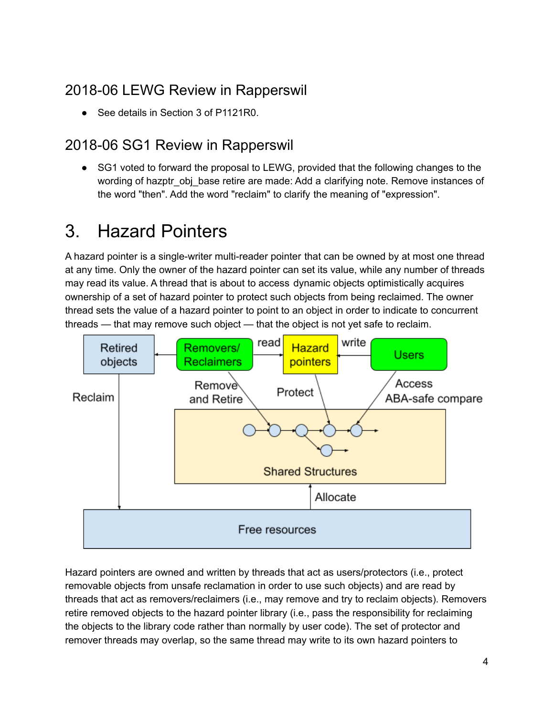## 2018-06 LEWG Review in Rapperswil

See details in Section 3 of P1121R0.

## 2018-06 SG1 Review in Rapperswil

• SG1 voted to forward the proposal to LEWG, provided that the following changes to the wording of hazptr obj base retire are made: Add a clarifying note. Remove instances of the word "then". Add the word "reclaim" to clarify the meaning of "expression".

## 3. Hazard Pointers

A hazard pointer is a single-writer multi-reader pointer that can be owned by at most one thread at any time. Only the owner of the hazard pointer can set its value, while any number of threads may read its value. A thread that is about to access dynamic objects optimistically acquires ownership of a set of hazard pointer to protect such objects from being reclaimed. The owner thread sets the value of a hazard pointer to point to an object in order to indicate to concurrent threads — that may remove such object — that the object is not yet safe to reclaim.



Hazard pointers are owned and written by threads that act as users/protectors (i.e., protect removable objects from unsafe reclamation in order to use such objects) and are read by threads that act as removers/reclaimers (i.e., may remove and try to reclaim objects). Removers retire removed objects to the hazard pointer library (i.e., pass the responsibility for reclaiming the objects to the library code rather than normally by user code). The set of protector and remover threads may overlap, so the same thread may write to its own hazard pointers to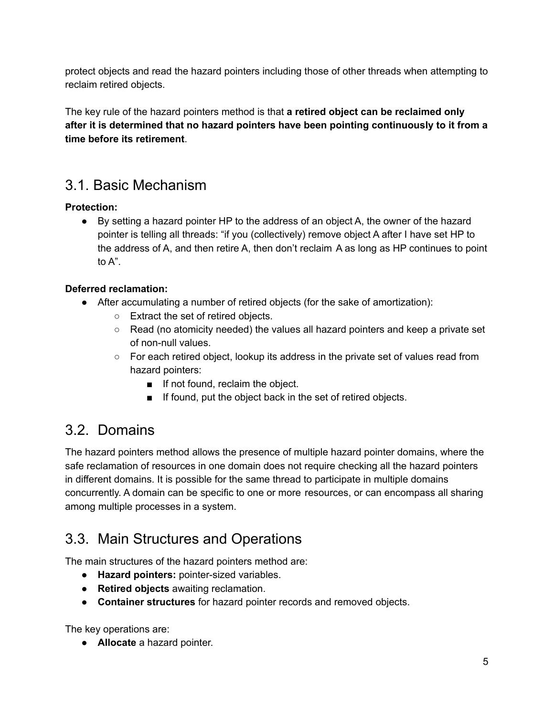protect objects and read the hazard pointers including those of other threads when attempting to reclaim retired objects.

The key rule of the hazard pointers method is that **a retired object can be reclaimed only after it is determined that no hazard pointers have been pointing continuously to it from a time before its retirement**.

## 3.1. Basic Mechanism

#### **Protection:**

● By setting a hazard pointer HP to the address of an object A, the owner of the hazard pointer is telling all threads: "if you (collectively) remove object A after I have set HP to the address of A, and then retire A, then don't reclaim A as long as HP continues to point to A".

#### **Deferred reclamation:**

- After accumulating a number of retired objects (for the sake of amortization):
	- Extract the set of retired objects.
	- Read (no atomicity needed) the values all hazard pointers and keep a private set of non-null values.
	- For each retired object, lookup its address in the private set of values read from hazard pointers:
		- If not found, reclaim the object.
		- If found, put the object back in the set of retired objects.

### 3.2. Domains

The hazard pointers method allows the presence of multiple hazard pointer domains, where the safe reclamation of resources in one domain does not require checking all the hazard pointers in different domains. It is possible for the same thread to participate in multiple domains concurrently. A domain can be specific to one or more resources, or can encompass all sharing among multiple processes in a system.

### 3.3. Main Structures and Operations

The main structures of the hazard pointers method are:

- **Hazard pointers:** pointer-sized variables.
- **Retired objects** awaiting reclamation.
- **Container structures** for hazard pointer records and removed objects.

The key operations are:

● **Allocate** a hazard pointer.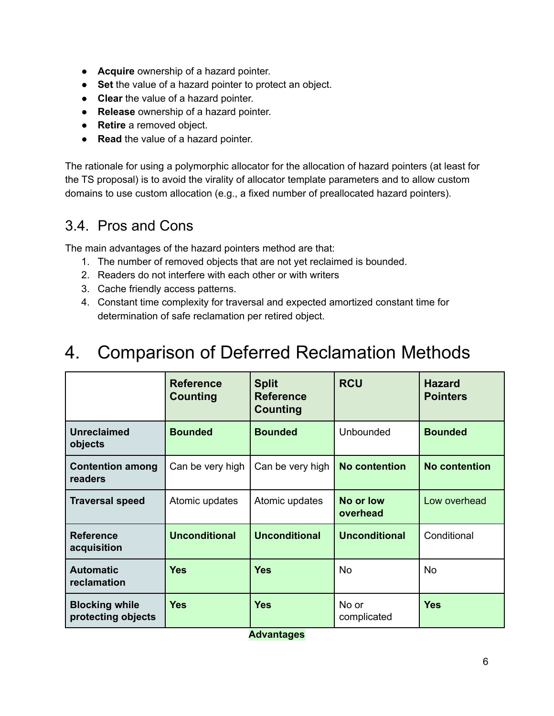- **Acquire** ownership of a hazard pointer.
- **Set** the value of a hazard pointer to protect an object.
- **Clear** the value of a hazard pointer.
- **Release** ownership of a hazard pointer.
- **Retire** a removed object.
- **Read** the value of a hazard pointer.

The rationale for using a polymorphic allocator for the allocation of hazard pointers (at least for the TS proposal) is to avoid the virality of allocator template parameters and to allow custom domains to use custom allocation (e.g., a fixed number of preallocated hazard pointers).

### 3.4. Pros and Cons

The main advantages of the hazard pointers method are that:

- 1. The number of removed objects that are not yet reclaimed is bounded.
- 2. Readers do not interfere with each other or with writers
- 3. Cache friendly access patterns.
- 4. Constant time complexity for traversal and expected amortized constant time for determination of safe reclamation per retired object.

## 4. Comparison of Deferred Reclamation Methods

|                                             | <b>Reference</b><br><b>Counting</b> | <b>Split</b><br><b>Reference</b><br>Counting | <b>RCU</b>            | <b>Hazard</b><br><b>Pointers</b> |
|---------------------------------------------|-------------------------------------|----------------------------------------------|-----------------------|----------------------------------|
| <b>Unreclaimed</b><br>objects               | <b>Bounded</b>                      | <b>Bounded</b>                               | Unbounded             | <b>Bounded</b>                   |
| <b>Contention among</b><br>readers          | Can be very high                    | Can be very high                             | <b>No contention</b>  | <b>No contention</b>             |
| <b>Traversal speed</b>                      | Atomic updates                      | Atomic updates                               | No or low<br>overhead | Low overhead                     |
| <b>Reference</b><br>acquisition             | <b>Unconditional</b>                | <b>Unconditional</b>                         | <b>Unconditional</b>  | Conditional                      |
| <b>Automatic</b><br>reclamation             | <b>Yes</b>                          | <b>Yes</b>                                   | <b>No</b>             | <b>No</b>                        |
| <b>Blocking while</b><br>protecting objects | <b>Yes</b>                          | <b>Yes</b>                                   | No or<br>complicated  | <b>Yes</b>                       |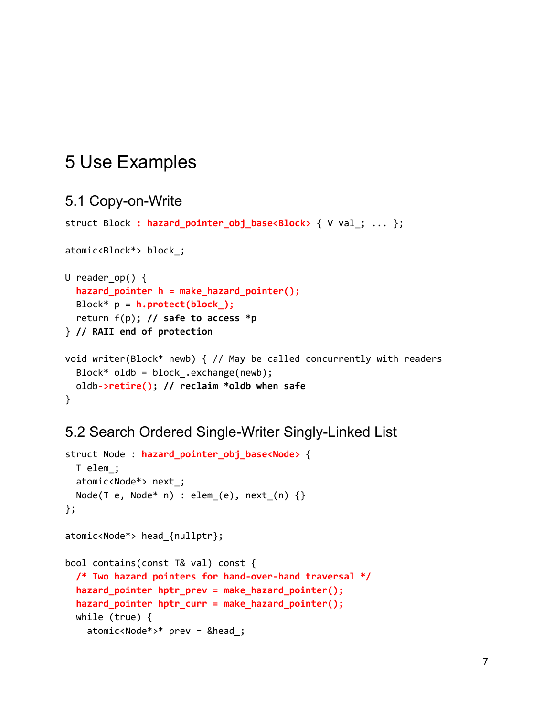## 5 Use Examples

### 5.1 Copy-on-Write

```
struct Block : hazard_pointer_obj_base<Block> { V val_; ... };
atomic<Block*> block_;
U reader_op() {
  hazard_pointer h = make_hazard_pointer();
  Block* p = h.protect(block_);
  return f(p); // safe to access *p
} // RAII end of protection
void writer(Block* newb) { // May be called concurrently with readers
  Block* oldb = block_.exchange(newb);
  oldb->retire(); // reclaim *oldb when safe
}
```
### 5.2 Search Ordered Single-Writer Singly-Linked List

```
struct Node : hazard_pointer_obj_base<Node> {
  T elem_;
  atomic<Node*> next_;
  Node(T e, Node* n) : elem_(e), next(n) {}
};
atomic<Node*> head_{nullptr};
bool contains(const T& val) const {
  /* Two hazard pointers for hand-over-hand traversal */
  hazard_pointer hptr_prev = make_hazard_pointer();
  hazard_pointer hptr_curr = make_hazard_pointer();
  while (true) {
    atomic<Node*>* prev = &head_;
```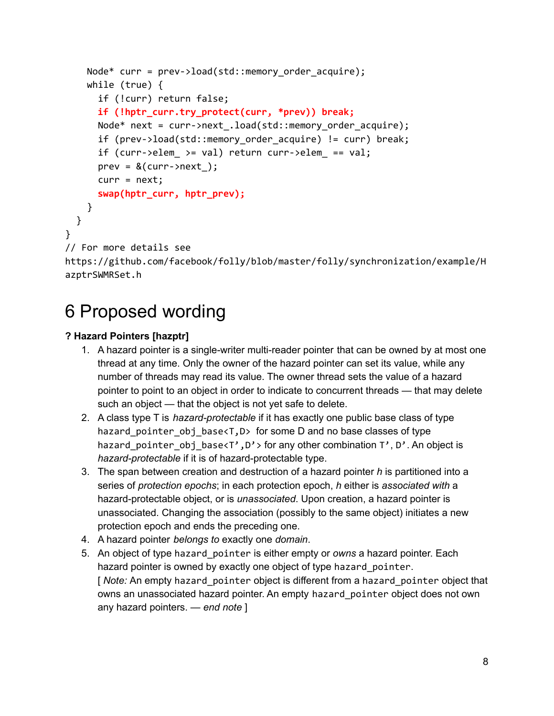```
Node* curr = prev->load(std::memory order acquire);
    while (true) {
      if (!curr) return false;
      if (!hptr_curr.try_protect(curr, *prev)) break;
      Node* next = curr->next .load(std::memory order acquire);
      if (prev->load(std::memory_order_acquire) != curr) break;
      if (curr->elem_ >= val) return curr->elem_ == val;
      prev = <math>&amp; (curr-&gt;next)</math>);curr = next;
      swap(hptr_curr, hptr_prev);
    }
  }
}
// For more details see
https://github.com/facebook/folly/blob/master/folly/synchronization/example/H
azptrSWMRSet.h
```
## 6 Proposed wording

#### **? Hazard Pointers [hazptr]**

- 1. A hazard pointer is a single-writer multi-reader pointer that can be owned by at most one thread at any time. Only the owner of the hazard pointer can set its value, while any number of threads may read its value. The owner thread sets the value of a hazard pointer to point to an object in order to indicate to concurrent threads — that may delete such an object — that the object is not yet safe to delete.
- 2. A class type T is *hazard-protectable* if it has exactly one public base class of type hazard pointer obj base<T,D> for some D and no base classes of type hazard\_pointer\_obj\_base<T',D'> for any other combination T', D'. An object is *hazard-protectable* if it is of hazard-protectable type.
- 3. The span between creation and destruction of a hazard pointer *h* is partitioned into a series of *protection epochs*; in each protection epoch, *h* either is *associated with* a hazard-protectable object, or is *unassociated*. Upon creation, a hazard pointer is unassociated. Changing the association (possibly to the same object) initiates a new protection epoch and ends the preceding one.
- 4. A hazard pointer *belongs to* exactly one *domain*.
- 5. An object of type hazard\_pointer is either empty or *owns* a hazard pointer. Each hazard pointer is owned by exactly one object of type hazard\_pointer. [ *Note:* An empty hazard\_pointer object is different from a hazard\_pointer object that owns an unassociated hazard pointer. An empty hazard\_pointer object does not own any hazard pointers. — *end note* ]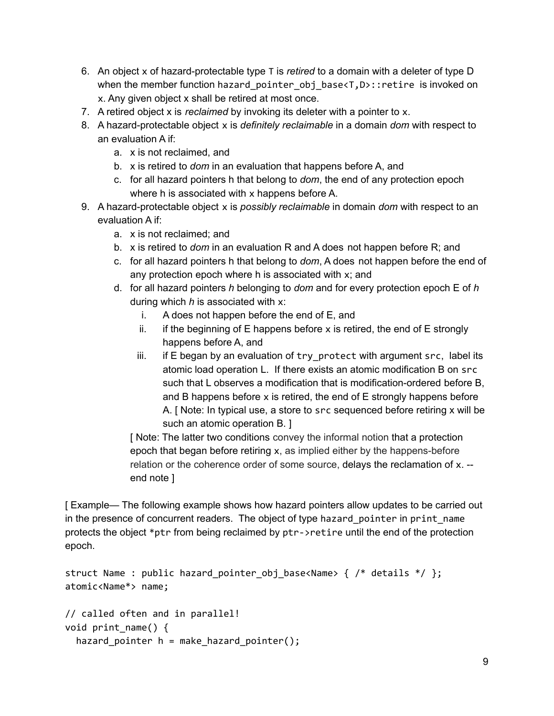- 6. An object x of hazard-protectable type T is *retired* to a domain with a deleter of type D when the member function hazard\_pointer\_obj\_base<T,D>::retire is invoked on x. Any given object x shall be retired at most once.
- 7. A retired object x is *reclaimed* by invoking its deleter with a pointer to x.
- 8. A hazard-protectable object x is *definitely reclaimable* in a domain *dom* with respect to an evaluation A if:
	- a. x is not reclaimed, and
	- b. x is retired to *dom* in an evaluation that happens before A, and
	- c. for all hazard pointers h that belong to *dom*, the end of any protection epoch where h is associated with x happens before A.
- 9. A hazard-protectable object x is *possibly reclaimable* in domain *dom* with respect to an evaluation A if:
	- a. x is not reclaimed; and
	- b. x is retired to *dom* in an evaluation R and A does not happen before R; and
	- c. for all hazard pointers h that belong to *dom*, A does not happen before the end of any protection epoch where h is associated with x; and
	- d. for all hazard pointers *h* belonging to *dom* and for every protection epoch E of *h* during which *h* is associated with x:
		- i. A does not happen before the end of E, and
		- ii. if the beginning of E happens before x is retired, the end of E strongly happens before A, and
		- iii. if E began by an evaluation of  $try\_protect$  with argument src, label its atomic load operation L. If there exists an atomic modification B on src such that L observes a modification that is modification-ordered before B, and B happens before  $x$  is retired, the end of E strongly happens before A. [ Note: In typical use, a store to src sequenced before retiring x will be such an atomic operation B. ]

[ Note: The latter two conditions convey the informal notion that a protection epoch that began before retiring x, as implied either by the happens-before relation or the coherence order of some source, delays the reclamation of x. - end note ]

[ Example— The following example shows how hazard pointers allow updates to be carried out in the presence of concurrent readers. The object of type hazard pointer in print name protects the object \*ptr from being reclaimed by ptr->retire until the end of the protection epoch.

```
struct Name : public hazard_pointer_obj_base<Name> { /* details */ };
atomic<Name*> name;
```

```
// called often and in parallel!
void print_name() {
  hazard_pointer h = make_hazard_pointer();
```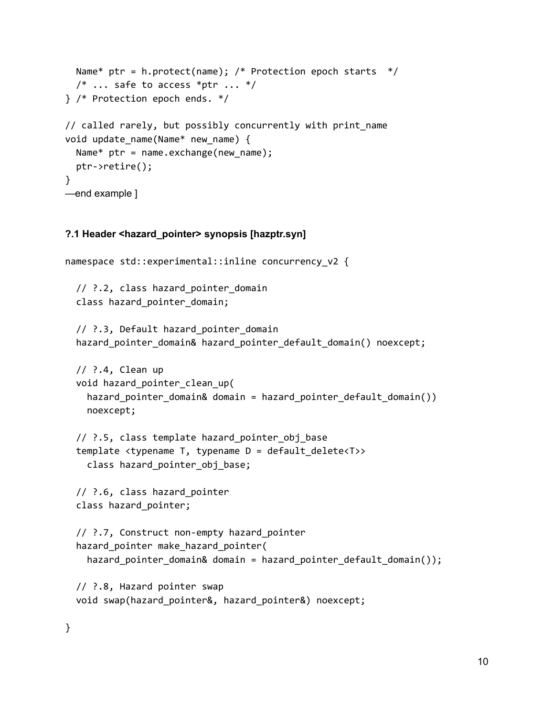```
Name* ptr = h.protect(name); /* Protection epoch starts *//* \ldots safe to access *ptr ... */
} /* Protection epoch ends. */
// called rarely, but possibly concurrently with print_name
void update_name(Name* new_name) {
  Name* ptr = name.execute(xchange(new_name);ptr->retire();
}
—end example ]
```
#### **?.1 Header <hazard\_pointer> synopsis [hazptr.syn]**

```
namespace std::experimental::inline concurrency_v2 {
  // ?.2, class hazard_pointer_domain
  class hazard_pointer_domain;
  // ?.3, Default hazard pointer domain
  hazard_pointer_domain& hazard_pointer_default_domain() noexcept;
  // ?.4, Clean up
  void hazard_pointer_clean_up(
    hazard_pointer_domain& domain = hazard_pointer_default_domain())
    noexcept;
  // ?.5, class template hazard_pointer_obj_base
  template <typename T, typename D = default_delete<T>>
    class hazard_pointer_obj_base;
  // ?.6, class hazard_pointer
  class hazard_pointer;
  // ?.7, Construct non-empty hazard_pointer
  hazard_pointer make_hazard_pointer(
    hazard_pointer_domain& domain = hazard_pointer_default_domain());
  // ?.8, Hazard pointer swap
  void swap(hazard_pointer&, hazard_pointer&) noexcept;
```
}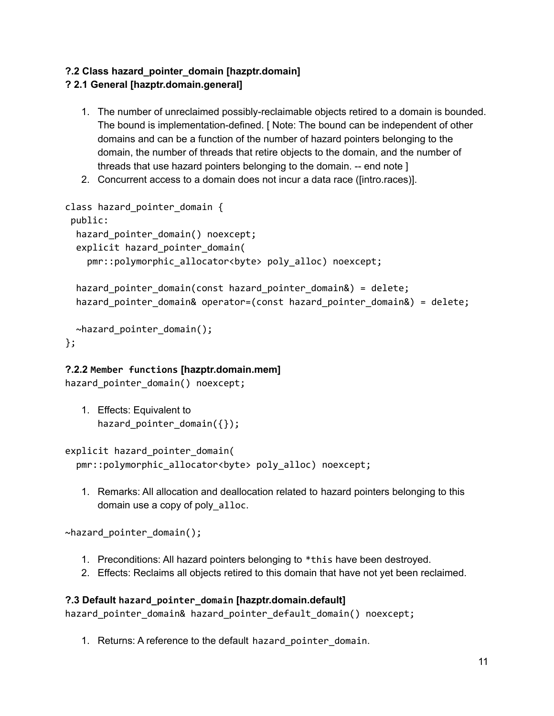### **?.2 Class hazard\_pointer\_domain [hazptr.domain]**

### **? 2.1 General [hazptr.domain.general]**

- 1. The number of unreclaimed possibly-reclaimable objects retired to a domain is bounded. The bound is implementation-defined. [ Note: The bound can be independent of other domains and can be a function of the number of hazard pointers belonging to the domain, the number of threads that retire objects to the domain, and the number of threads that use hazard pointers belonging to the domain. -- end note ]
- 2. Concurrent access to a domain does not incur a data race ([intro.races)].

```
class hazard_pointer_domain {
public:
 hazard_pointer_domain() noexcept;
 explicit hazard_pointer_domain(
    pmr::polymorphic_allocator<byte> poly_alloc) noexcept;
 hazard_pointer_domain(const hazard_pointer_domain&) = delete;
 hazard_pointer_domain& operator=(const hazard_pointer_domain&) = delete;
 ~hazard_pointer_domain();
```
};

#### **?.2.2 Member functions [hazptr.domain.mem]**

hazard\_pointer\_domain() noexcept;

1. Effects: Equivalent to hazard\_pointer\_domain({});

```
explicit hazard_pointer_domain(
  pmr::polymorphic_allocator<byte> poly_alloc) noexcept;
```
1. Remarks: All allocation and deallocation related to hazard pointers belonging to this domain use a copy of poly\_alloc.

~hazard\_pointer\_domain();

- 1. Preconditions: All hazard pointers belonging to \*this have been destroyed.
- 2. Effects: Reclaims all objects retired to this domain that have not yet been reclaimed.

#### **?.3 Default hazard\_pointer\_domain [hazptr.domain.default]**

hazard\_pointer\_domain& hazard\_pointer\_default\_domain() noexcept;

1. Returns: A reference to the default hazard\_pointer\_domain.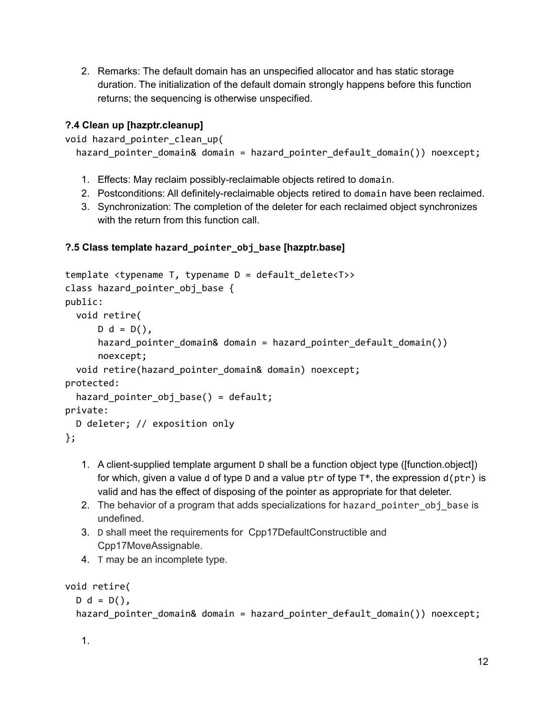2. Remarks: The default domain has an unspecified allocator and has static storage duration. The initialization of the default domain strongly happens before this function returns; the sequencing is otherwise unspecified.

#### **?.4 Clean up [hazptr.cleanup]**

```
void hazard_pointer_clean_up(
```

```
hazard_pointer_domain& domain = hazard_pointer_default_domain()) noexcept;
```
- 1. Effects: May reclaim possibly-reclaimable objects retired to domain.
- 2. Postconditions: All definitely-reclaimable objects retired to domain have been reclaimed.
- 3. Synchronization: The completion of the deleter for each reclaimed object synchronizes with the return from this function call.

#### **?.5 Class template hazard\_pointer\_obj\_base [hazptr.base]**

```
template <typename T, typename D = default_delete<T>>
class hazard_pointer_obj_base {
public:
  void retire(
      D d = D(),
      hazard_pointer_domain& domain = hazard_pointer_default_domain())
      noexcept;
  void retire(hazard_pointer_domain& domain) noexcept;
protected:
  hazard_pointer_obj_base() = default;
private:
  D deleter; // exposition only
};
```
- 1. A client-supplied template argument D shall be a function object type ([function.object]) for which, given a value d of type D and a value ptr of type  $T^*$ , the expression  $d(ptr)$  is valid and has the effect of disposing of the pointer as appropriate for that deleter.
- 2. The behavior of a program that adds specializations for hazard\_pointer\_obj\_base is undefined.
- 3. D shall meet the requirements for Cpp17DefaultConstructible and Cpp17MoveAssignable.
- 4. T may be an incomplete type.

```
void retire(
  D d = D(),
  hazard_pointer_domain& domain = hazard_pointer_default_domain()) noexcept;
```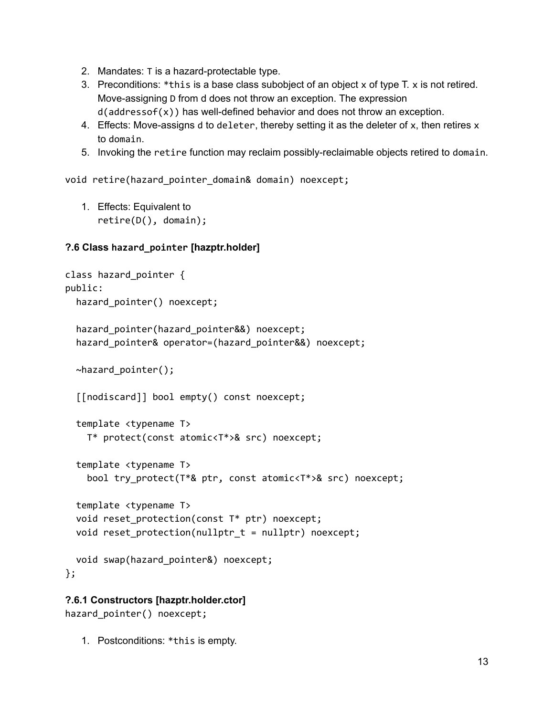- 2. Mandates: T is a hazard-protectable type.
- 3. Preconditions: \*this is a base class subobject of an object x of type T. x is not retired. Move-assigning D from d does not throw an exception. The expression  $d(addressof(x))$  has well-defined behavior and does not throw an exception.
- 4. Effects: Move-assigns d to deleter, thereby setting it as the deleter of x, then retires  $x$ to domain.
- 5. Invoking the retire function may reclaim possibly-reclaimable objects retired to domain.

void retire(hazard\_pointer\_domain& domain) noexcept;

1. Effects: Equivalent to retire(D(), domain);

#### **?.6 Class hazard\_pointer [hazptr.holder]**

```
class hazard_pointer {
public:
  hazard_pointer() noexcept;
  hazard pointer(hazard pointer&&) noexcept;
  hazard_pointer& operator=(hazard_pointer&&) noexcept;
  ~hazard_pointer();
  [[nodiscard]] bool empty() const noexcept;
  template <typename T>
    T* protect(const atomic<T*>& src) noexcept;
  template <typename T>
    bool try_protect(T*& ptr, const atomic<T*>& src) noexcept;
  template <typename T>
  void reset_protection(const T* ptr) noexcept;
  void reset_protection(nullptr_t = nullptr) noexcept;
  void swap(hazard_pointer&) noexcept;
};
```
#### **?.6.1 Constructors [hazptr.holder.ctor]**

```
hazard_pointer() noexcept;
```
1. Postconditions: \*this is empty.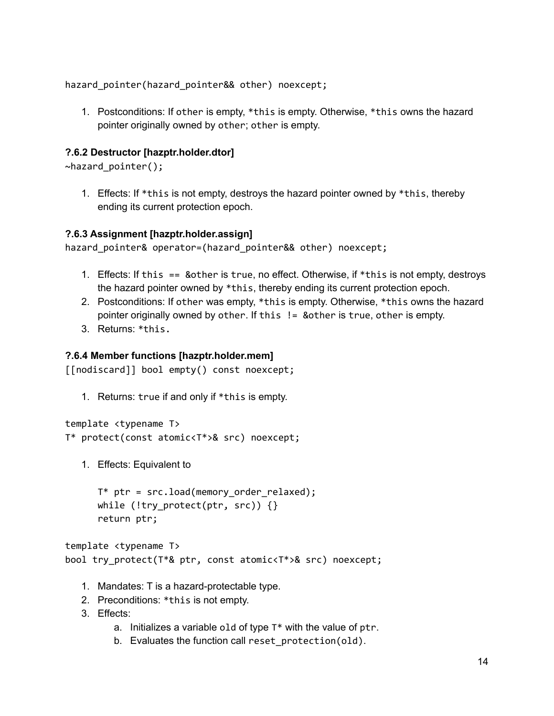hazard\_pointer(hazard\_pointer&& other) noexcept;

1. Postconditions: If other is empty, \*this is empty. Otherwise, \*this owns the hazard pointer originally owned by other; other is empty.

#### **?.6.2 Destructor [hazptr.holder.dtor]**

~hazard\_pointer();

1. Effects: If \*this is not empty, destroys the hazard pointer owned by \*this, thereby ending its current protection epoch.

#### **?.6.3 Assignment [hazptr.holder.assign]**

```
hazard_pointer& operator=(hazard_pointer&& other) noexcept;
```
- 1. Effects: If this == &other is true, no effect. Otherwise, if \*this is not empty, destroys the hazard pointer owned by \*this, thereby ending its current protection epoch.
- 2. Postconditions: If other was empty, \*this is empty. Otherwise, \*this owns the hazard pointer originally owned by other. If this != &other is true, other is empty.
- 3. Returns: \*this.

#### **?.6.4 Member functions [hazptr.holder.mem]**

[[nodiscard]] bool empty() const noexcept;

1. Returns: true if and only if \*this is empty.

```
template <typename T>
T* protect(const atomic<T*>& src) noexcept;
```
1. Effects: Equivalent to

```
T* ptr = src.load(memory_order_relaxed);
while (!try_protect(ptr, src)) \{\}return ptr;
```

```
template <typename T>
bool try_protect(T*& ptr, const atomic<T*>& src) noexcept;
```
- 1. Mandates: T is a hazard-protectable type.
- 2. Preconditions: \*this is not empty.
- 3. Effects:
	- a. Initializes a variable old of type T\* with the value of ptr.
	- b. Evaluates the function call reset\_protection(old).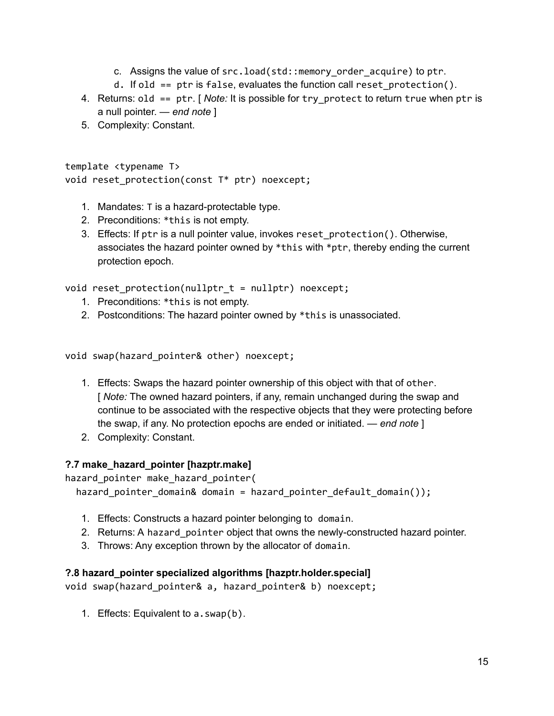- c. Assigns the value of src.load(std::memory order acquire) to ptr.
- d. If old == ptr is false, evaluates the function call reset\_protection().
- 4. Returns: old == ptr. [ *Note:* It is possible for try\_protect to return true when ptr is a null pointer. — *end note* ]
- 5. Complexity: Constant.

```
template <typename T>
void reset_protection(const T* ptr) noexcept;
```
- 1. Mandates: T is a hazard-protectable type.
- 2. Preconditions: \*this is not empty.
- 3. Effects: If ptr is a null pointer value, invokes reset\_protection(). Otherwise, associates the hazard pointer owned by \*this with \*ptr, thereby ending the current protection epoch.

void reset\_protection(nullptr\_t = nullptr) noexcept;

- 1. Preconditions: \*this is not empty.
- 2. Postconditions: The hazard pointer owned by \*this is unassociated.

void swap(hazard\_pointer& other) noexcept;

- 1. Effects: Swaps the hazard pointer ownership of this object with that of other. [ *Note:* The owned hazard pointers, if any, remain unchanged during the swap and continue to be associated with the respective objects that they were protecting before the swap, if any. No protection epochs are ended or initiated. — *end note* ]
- 2. Complexity: Constant.

#### **?.7 make\_hazard\_pointer [hazptr.make]**

hazard pointer make hazard pointer(

hazard\_pointer\_domain& domain = hazard\_pointer\_default\_domain());

- 1. Effects: Constructs a hazard pointer belonging to domain.
- 2. Returns: A hazard\_pointer object that owns the newly-constructed hazard pointer.
- 3. Throws: Any exception thrown by the allocator of domain.

#### **?.8 hazard\_pointer specialized algorithms [hazptr.holder.special]**

void swap(hazard\_pointer& a, hazard\_pointer& b) noexcept;

1. Effects: Equivalent to a.swap(b).